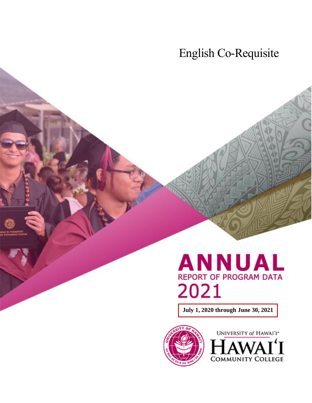English Co-Requisite



**July 1, 2020 through June 30, 2021**



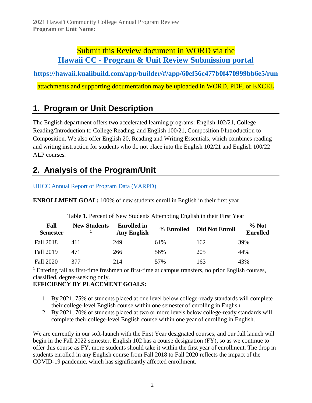## Submit this Review document in WORD via the **Hawaii CC - [Program & Unit Review Submission portal](https://hawaii.kualibuild.com/app/builder/#/app/60ef56c477b0f470999bb6e5/run)**

**<https://hawaii.kualibuild.com/app/builder/#/app/60ef56c477b0f470999bb6e5/run>**

attachments and supporting documentation may be uploaded in WORD, PDF, or EXCEL

# **1. Program or Unit Description**

The English department offers two accelerated learning programs: English 102/21, College Reading/Introduction to College Reading, and English 100/21, Composition I/Introduction to Composition. We also offer English 20, Reading and Writing Essentials, which combines reading and writing instruction for students who do not place into the English 102/21 and English 100/22 ALP courses.

# **2. Analysis of the Program/Unit**

### [UHCC Annual Report of Program Data \(VARPD\)](https://uhcc.hawaii.edu/varpd/)

**ENROLLMENT GOAL:** 100% of new students enroll in English in their first year

| Fall<br><b>Semester</b> | <b>New Students</b> | <b>Enrolled</b> in<br><b>Any English</b> | % Enrolled | <b>Did Not Enroll</b> | % Not<br><b>Enrolled</b> |
|-------------------------|---------------------|------------------------------------------|------------|-----------------------|--------------------------|
| Fall 2018               | 411                 | 249                                      | 61%        | 162                   | 39%                      |
| <b>Fall 2019</b>        | 471                 | 266                                      | 56%        | 205                   | 44%                      |
| <b>Fall 2020</b>        | 377                 | 214                                      | 57%        | 163                   | 43%                      |

Table 1. Percent of New Students Attempting English in their First Year

 $1$  Entering fall as first-time freshmen or first-time at campus transfers, no prior English courses, classified, degree-seeking only.

### **EFFICIENCY BY PLACEMENT GOALS:**

- 1. By 2021, 75% of students placed at one level below college-ready standards will complete their college-level English course within one semester of enrolling in English.
- 2. By 2021, 70% of students placed at two or more levels below college-ready standards will complete their college-level English course within one year of enrolling in English.

We are currently in our soft-launch with the First Year designated courses, and our full launch will begin in the Fall 2022 semester. English 102 has a course designation (FY), so as we continue to offer this course as FY, more students should take it within the first year of enrollment. The drop in students enrolled in any English course from Fall 2018 to Fall 2020 reflects the impact of the COVID-19 pandemic, which has significantly affected enrollment.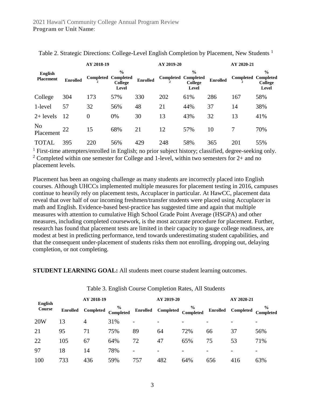|                                    |                 | AY 2018-19 |                                                              |                 | AY 2019-20       |                                                              |                 | AY 2020-21 |                                                              |
|------------------------------------|-----------------|------------|--------------------------------------------------------------|-----------------|------------------|--------------------------------------------------------------|-----------------|------------|--------------------------------------------------------------|
| <b>English</b><br><b>Placement</b> | <b>Enrolled</b> | Completed  | $\frac{0}{0}$<br><b>Completed</b><br><b>College</b><br>Level | <b>Enrolled</b> | <b>Completed</b> | $\frac{0}{0}$<br><b>Completed</b><br><b>College</b><br>Level | <b>Enrolled</b> | Completed  | $\frac{0}{0}$<br><b>Completed</b><br><b>College</b><br>Level |
| College                            | 304             | 173        | 57%                                                          | 330             | 202              | 61%                                                          | 286             | 167        | 58%                                                          |
| 1-level                            | 57              | 32         | 56%                                                          | 48              | 21               | 44%                                                          | 37              | 14         | 38%                                                          |
| $2+$ levels                        | 12              | 0          | 0%                                                           | 30              | 13               | 43%                                                          | 32              | 13         | 41%                                                          |
| N <sub>o</sub><br>Placement        | 22              | 15         | 68%                                                          | 21              | 12               | 57%                                                          | 10              |            | 70%                                                          |
| <b>TOTAL</b>                       | 395             | 220        | 56%                                                          | 429             | 248              | 58%                                                          | 365             | 201        | 55%                                                          |

Table 2. Strategic Directions: College-Level English Completion by Placement, New Students<sup>1</sup>

<sup>1</sup> First-time attempters/enrolled in English; no prior subject history; classified, degree-seeking only. <sup>2</sup> Completed within one semester for College and 1-level, within two semesters for  $2+$  and no placement levels.

Placement has been an ongoing challenge as many students are incorrectly placed into English courses. Although UHCCs implemented multiple measures for placement testing in 2016, campuses continue to heavily rely on placement tests, Accuplacer in particular. At HawCC, placement data reveal that over half of our incoming freshmen/transfer students were placed using Accuplacer in math and English. Evidence-based best-practice has suggested time and again that multiple measures with attention to cumulative High School Grade Point Average (HSGPA) and other measures, including completed coursework, is the most accurate procedure for placement. Further, research has found that placement tests are limited in their capacity to gauge college readiness, are modest at best in predicting performance, tend towards underestimating student capabilities, and that the consequent under-placement of students risks them not enrolling, dropping out, delaying completion, or not completing.

#### **STUDENT LEARNING GOAL:** All students meet course student learning outcomes.

| <b>English</b> |                 | AY 2018-19 |                          | AY 2019-20               |           |                            | AY 2020-21      |                  |                            |
|----------------|-----------------|------------|--------------------------|--------------------------|-----------|----------------------------|-----------------|------------------|----------------------------|
| Course         | <b>Enrolled</b> | Completed  | $\%$<br><b>Completed</b> | <b>Enrolled</b>          | Completed | $\frac{6}{6}$<br>Completed | <b>Enrolled</b> | <b>Completed</b> | $\frac{6}{9}$<br>Completed |
| 20W            | 13              | 4          | 31%                      | $\overline{\phantom{a}}$ |           |                            |                 |                  | -                          |
| 21             | 95              | 71         | 75%                      | 89                       | 64        | 72%                        | 66              | 37               | 56%                        |
| 22             | 105             | 67         | 64%                      | 72                       | 47        | 65%                        | 75              | 53               | 71%                        |
| 97             | 18              | 14         | 78%                      | $\overline{\phantom{a}}$ | -         |                            |                 |                  | -                          |
| 100            | 733             | 436        | 59%                      | 757                      | 482       | 64%                        | 656             | 416              | 63%                        |

#### Table 3. English Course Completion Rates, All Students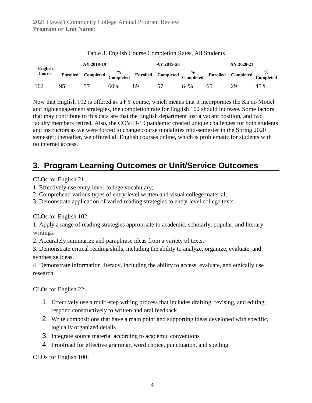| <b>English</b> |                 | AY 2018-19 |     |    | AY 2019-20                                                                      |     |    | AY 2020-21 |     |
|----------------|-----------------|------------|-----|----|---------------------------------------------------------------------------------|-----|----|------------|-----|
| Course         | <b>Enrolled</b> |            |     |    | Completed Completed Completed Completed Completed Completed Completed Completed |     |    |            |     |
| 102            | 95              | 57         | 60% | 89 | 51                                                                              | 64% | ᲠჂ | 29         | 45% |

Table 3. English Course Completion Rates, All Students

Now that English 102 is offered as a FY course, which means that it incorporates the Kaʻao Model and high engagement strategies, the completion rate for English 102 should increase. Some factors that may contribute to this data are that the English department lost a vacant position, and two faculty members retired. Also, the COVID-19 pandemic created unique challenges for both students and instructors as we were forced to change course modalities mid-semester in the Spring 2020 semester; thereafter, we offered all English courses online, which is problematic for students with no internet access.

# **3. Program Learning Outcomes or Unit/Service Outcomes**

CLOs for English 21:

- 1. Effectively use entry-level college vocabulary;
- 2. Comprehend various types of entry-level written and visual college material;
- 3. Demonstrate application of varied reading strategies to entry-level college texts.

CLOs for English 102:

1. Apply a range of reading strategies appropriate to academic, scholarly, popular, and literary writings.

2. Accurately summarize and paraphrase ideas from a variety of texts.

3. Demonstrate critical reading skills, including the ability to analyze, organize, evaluate, and synthesize ideas.

4. Demonstrate information literacy, including the ability to access, evaluate, and ethically use research.

CLOs for English 22:

- 1. Effectively use a multi-step writing process that includes drafting, revising, and editing; respond constructively to written and oral feedback
- 2. Write compositions that have a main point and supporting ideas developed with specific, logically organized details
- 3. Integrate source material according to academic conventions
- 4. Proofread for effective grammar, word choice, punctuation, and spelling

CLOs for English 100: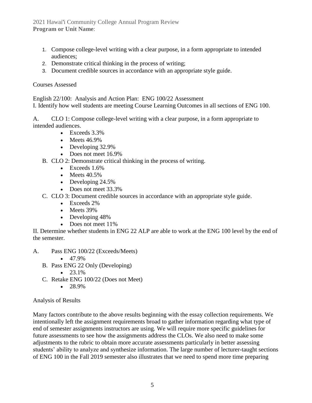2021 Hawai'i Community College Annual Program Review **Program or Unit Name**:

- 1. Compose college-level writing with a clear purpose, in a form appropriate to intended audiences;
- 2. Demonstrate critical thinking in the process of writing;
- 3. Document credible sources in accordance with an appropriate style guide.

#### Courses Assessed

English 22/100: Analysis and Action Plan: ENG 100/22 Assessment I. Identify how well students are meeting Course Learning Outcomes in all sections of ENG 100.

A. CLO 1: Compose college-level writing with a clear purpose, in a form appropriate to intended audiences.

- Exceeds  $3.3\%$ 
	- Meets 46.9%
	- Developing 32.9%
	- Does not meet 16.9%
- B. CLO 2: Demonstrate critical thinking in the process of writing.
	- Exceeds 1.6%
	- Meets  $40.5\%$
	- Developing 24.5%
	- Does not meet 33.3%
- C. CLO 3: Document credible sources in accordance with an appropriate style guide.
	- Exceeds 2%
	- Meets 39%
	- Developing 48%
	- Does not meet  $11\%$

II. Determine whether students in ENG 22 ALP are able to work at the ENG 100 level by the end of the semester.

- A. Pass ENG 100/22 (Exceeds/Meets)
	- $47.9\%$
	- B. Pass ENG 22 Only (Developing)
		- $23.1\%$
	- C. Retake ENG 100/22 (Does not Meet)
		- $28.9\%$

#### Analysis of Results

Many factors contribute to the above results beginning with the essay collection requirements. We intentionally left the assignment requirements broad to gather information regarding what type of end of semester assignments instructors are using. We will require more specific guidelines for future assessments to see how the assignments address the CLOs. We also need to make some adjustments to the rubric to obtain more accurate assessments particularly in better assessing students' ability to analyze and synthesize information. The large number of lecturer-taught sections of ENG 100 in the Fall 2019 semester also illustrates that we need to spend more time preparing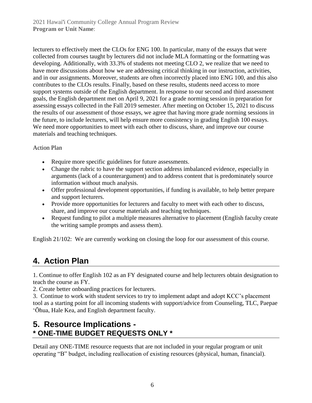lecturers to effectively meet the CLOs for ENG 100. In particular, many of the essays that were collected from courses taught by lecturers did not include MLA formatting or the formatting was developing. Additionally, with 33.3% of students not meeting CLO 2, we realize that we need to have more discussions about how we are addressing critical thinking in our instruction, activities, and in our assignments. Moreover, students are often incorrectly placed into ENG 100, and this also contributes to the CLOs results. Finally, based on these results, students need access to more support systems outside of the English department. In response to our second and third assessment goals, the English department met on April 9, 2021 for a grade norming session in preparation for assessing essays collected in the Fall 2019 semester. After meeting on October 15, 2021 to discuss the results of our assessment of those essays, we agree that having more grade norming sessions in the future, to include lecturers, will help ensure more consistency in grading English 100 essays. We need more opportunities to meet with each other to discuss, share, and improve our course materials and teaching techniques.

#### Action Plan

- Require more specific guidelines for future assessments.
- Change the rubric to have the support section address imbalanced evidence, especially in arguments (lack of a counterargument) and to address content that is predominately source information without much analysis.
- Offer professional development opportunities, if funding is available, to help better prepare and support lecturers.
- Provide more opportunities for lecturers and faculty to meet with each other to discuss, share, and improve our course materials and teaching techniques.
- Request funding to pilot a multiple measures alternative to placement (English faculty create the writing sample prompts and assess them).

English 21/102: We are currently working on closing the loop for our assessment of this course.

# **4. Action Plan**

1. Continue to offer English 102 as an FY designated course and help lecturers obtain designation to teach the course as FY.

2. Create better onboarding practices for lecturers.

3. Continue to work with student services to try to implement adapt and adopt KCC's placement tool as a starting point for all incoming students with support/advice from Counseling, TLC, Paepae ʻŌhua, Hale Kea, and English department faculty.

## **5. Resource Implications - \* ONE-TIME BUDGET REQUESTS ONLY \***

Detail any ONE-TIME resource requests that are not included in your regular program or unit operating "B" budget, including reallocation of existing resources (physical, human, financial).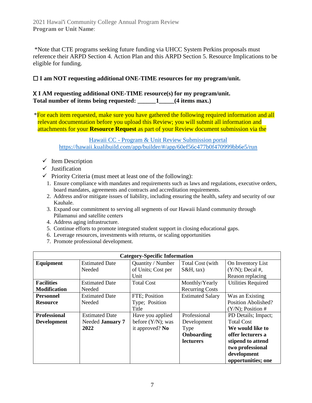\*Note that CTE programs seeking future funding via UHCC System Perkins proposals must reference their ARPD Section 4. Action Plan and this ARPD Section 5. Resource Implications to be eligible for funding.

### ☐ **I am NOT requesting additional ONE-TIME resources for my program/unit.**

#### X **I AM requesting additional ONE-TIME resource(s) for my program/unit. Total number of items being requested: \_\_\_\_\_\_1\_\_\_\_\_(4 items max.)**

\*For each item requested, make sure you have gathered the following required information and all relevant documentation before you upload this Review; you will submit all information and attachments for your **Resource Request** as part of your Review document submission via the

> Hawaii CC - [Program & Unit Review Submission portal](https://hawaii.kualibuild.com/app/builder/#/app/60ef56c477b0f470999bb6e5/run) <https://hawaii.kualibuild.com/app/builder/#/app/60ef56c477b0f470999bb6e5/run>

- $\checkmark$  Item Description
- ✓ Justification
- $\checkmark$  Priority Criteria (must meet at least one of the following):
	- 1. Ensure compliance with mandates and requirements such as laws and regulations, executive orders, board mandates, agreements and contracts and accreditation requirements.
	- 2. Address and/or mitigate issues of liability, including ensuring the health, safety and security of our Kauhale.
	- 3. Expand our commitment to serving all segments of our Hawaii Island community through Pālamanui and satellite centers
	- 4. Address aging infrastructure.
	- 5. Continue efforts to promote integrated student support in closing educational gaps.
	- 6. Leverage resources, investments with returns, or scaling opportunities
	- 7. Promote professional development.

| <b>Category-Specific Information</b> |                       |                      |                         |                           |  |  |  |  |
|--------------------------------------|-----------------------|----------------------|-------------------------|---------------------------|--|--|--|--|
| Equipment                            | <b>Estimated Date</b> | Quantity / Number    | Total Cost (with        | On Inventory List         |  |  |  |  |
|                                      | Needed                | of Units; Cost per   | $S\&H$ , tax)           | $(Y/N)$ ; Decal #,        |  |  |  |  |
|                                      |                       | Unit                 |                         | Reason replacing          |  |  |  |  |
| <b>Facilities</b>                    | <b>Estimated Date</b> | <b>Total Cost</b>    | Monthly/Yearly          | <b>Utilities Required</b> |  |  |  |  |
| <b>Modification</b>                  | Needed                |                      | <b>Recurring Costs</b>  |                           |  |  |  |  |
| <b>Personnel</b>                     | <b>Estimated Date</b> | FTE; Position        | <b>Estimated Salary</b> | Was an Existing           |  |  |  |  |
| <b>Resource</b>                      | Needed                | Type; Position       |                         | Position Abolished?       |  |  |  |  |
|                                      |                       | Title                |                         | $(Y/N)$ ; Position #      |  |  |  |  |
| <b>Professional</b>                  | <b>Estimated Date</b> | Have you applied     | Professional            | PD Details; Impact;       |  |  |  |  |
| <b>Development</b>                   | Needed January 7      | before $(Y/N)$ ; was | Development             | <b>Total Cost</b>         |  |  |  |  |
|                                      | 2022                  | it approved? No      | <b>Type</b>             | We would like to          |  |  |  |  |
|                                      |                       |                      | Onboarding              | offer lecturers a         |  |  |  |  |
|                                      |                       |                      | <b>lecturers</b>        | stipend to attend         |  |  |  |  |
|                                      |                       |                      |                         | two professional          |  |  |  |  |
|                                      |                       |                      |                         | development               |  |  |  |  |
|                                      |                       |                      |                         | opportunities; one        |  |  |  |  |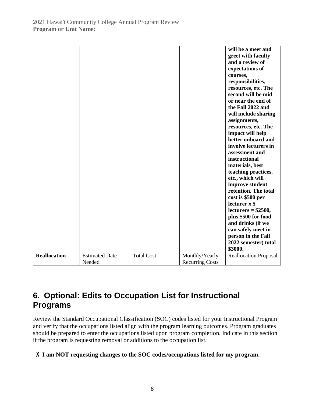|                     |                       |                   |                        | will be a meet and              |
|---------------------|-----------------------|-------------------|------------------------|---------------------------------|
|                     |                       |                   |                        | greet with faculty              |
|                     |                       |                   |                        | and a review of                 |
|                     |                       |                   |                        |                                 |
|                     |                       |                   |                        | expectations of                 |
|                     |                       |                   |                        | courses,                        |
|                     |                       |                   |                        | responsibilities,               |
|                     |                       |                   |                        | resources, etc. The             |
|                     |                       |                   |                        | second will be mid              |
|                     |                       |                   |                        | or near the end of              |
|                     |                       |                   |                        | the Fall 2022 and               |
|                     |                       |                   |                        | will include sharing            |
|                     |                       |                   |                        | assignments,                    |
|                     |                       |                   |                        | resources, etc. The             |
|                     |                       |                   |                        | impact will help                |
|                     |                       |                   |                        | better onboard and              |
|                     |                       |                   |                        | involve lecturers in            |
|                     |                       |                   |                        | assessment and                  |
|                     |                       |                   |                        | instructional                   |
|                     |                       |                   |                        | materials, best                 |
|                     |                       |                   |                        | teaching practices,             |
|                     |                       |                   |                        | etc., which will                |
|                     |                       |                   |                        | improve student                 |
|                     |                       |                   |                        | retention. The total            |
|                     |                       |                   |                        | cost is \$500 per               |
|                     |                       |                   |                        | lecturer x 5                    |
|                     |                       |                   |                        | $lectures = $2500,$             |
|                     |                       |                   |                        | plus \$500 for food             |
|                     |                       |                   |                        | and drinks (if we               |
|                     |                       |                   |                        | can safely meet in              |
|                     |                       |                   |                        |                                 |
|                     |                       |                   |                        | person in the Fall              |
|                     |                       |                   |                        | 2022 semester) total<br>\$3000. |
| <b>Reallocation</b> | <b>Estimated Date</b> | <b>Total Cost</b> | Monthly/Yearly         | <b>Reallocation Proposal</b>    |
|                     | Needed                |                   | <b>Recurring Costs</b> |                                 |

# **6. Optional: Edits to Occupation List for Instructional Programs**

Review the Standard Occupational Classification (SOC) codes listed for your Instructional Program and verify that the occupations listed align with the program learning outcomes. Program graduates should be prepared to enter the occupations listed upon program completion. Indicate in this section if the program is requesting removal or additions to the occupation list.

### X **I am NOT requesting changes to the SOC codes/occupations listed for my program.**